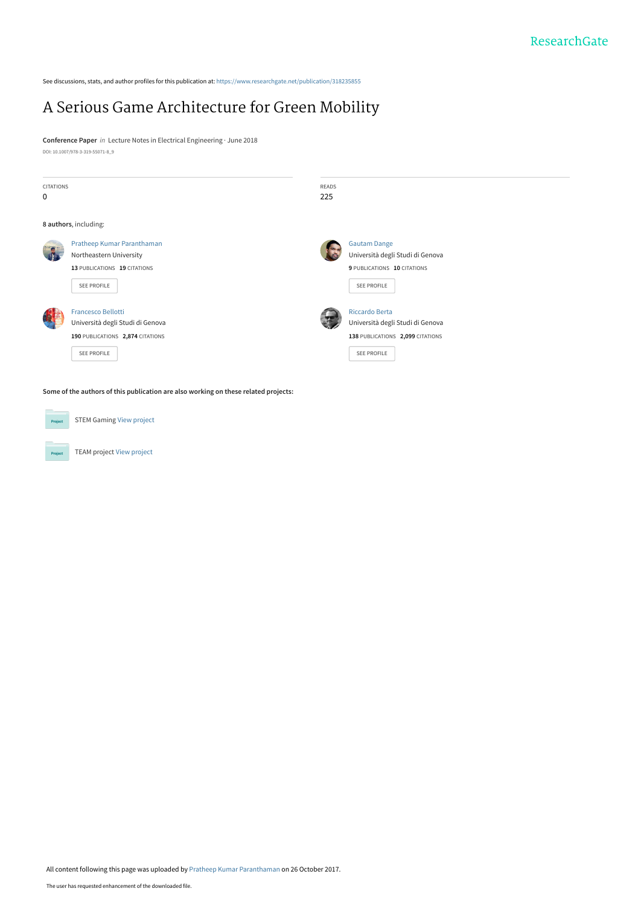See discussions, stats, and author profiles for this publication at: [https://www.researchgate.net/publication/318235855](https://www.researchgate.net/publication/318235855_A_Serious_Game_Architecture_for_Green_Mobility?enrichId=rgreq-e2d6b31e85d69ea32819002589f1eb39-XXX&enrichSource=Y292ZXJQYWdlOzMxODIzNTg1NTtBUzo1NTM2MjQyNTUxMjM0NTdAMTUwOTAwNTcxNjk2OQ%3D%3D&el=1_x_2&_esc=publicationCoverPdf)

# [A Serious Game Architecture for Green Mobility](https://www.researchgate.net/publication/318235855_A_Serious_Game_Architecture_for_Green_Mobility?enrichId=rgreq-e2d6b31e85d69ea32819002589f1eb39-XXX&enrichSource=Y292ZXJQYWdlOzMxODIzNTg1NTtBUzo1NTM2MjQyNTUxMjM0NTdAMTUwOTAwNTcxNjk2OQ%3D%3D&el=1_x_3&_esc=publicationCoverPdf)

**Conference Paper** in Lecture Notes in Electrical Engineering · June 2018 DOI: 10.1007/978-3-319-55071-8\_9

| <b>CITATIONS</b><br>0                                                               |                                                                                                                         | <b>READS</b><br>225 |                                                                                                                     |
|-------------------------------------------------------------------------------------|-------------------------------------------------------------------------------------------------------------------------|---------------------|---------------------------------------------------------------------------------------------------------------------|
| 8 authors, including:                                                               |                                                                                                                         |                     |                                                                                                                     |
|                                                                                     | Pratheep Kumar Paranthaman<br>Northeastern University<br>13 PUBLICATIONS 19 CITATIONS<br><b>SEE PROFILE</b>             |                     | <b>Gautam Dange</b><br>Università degli Studi di Genova<br>9 PUBLICATIONS 10 CITATIONS<br>SEE PROFILE               |
|                                                                                     | <b>Francesco Bellotti</b><br>Università degli Studi di Genova<br>190 PUBLICATIONS 2,874 CITATIONS<br><b>SEE PROFILE</b> |                     | <b>Riccardo Berta</b><br>Università degli Studi di Genova<br>138 PUBLICATIONS 2,099 CITATIONS<br><b>SEE PROFILE</b> |
| Some of the authors of this publication are also working on these related projects: |                                                                                                                         |                     |                                                                                                                     |



All content following this page was uploaded by [Pratheep Kumar Paranthaman](https://www.researchgate.net/profile/Pratheep_Paranthaman?enrichId=rgreq-e2d6b31e85d69ea32819002589f1eb39-XXX&enrichSource=Y292ZXJQYWdlOzMxODIzNTg1NTtBUzo1NTM2MjQyNTUxMjM0NTdAMTUwOTAwNTcxNjk2OQ%3D%3D&el=1_x_10&_esc=publicationCoverPdf) on 26 October 2017.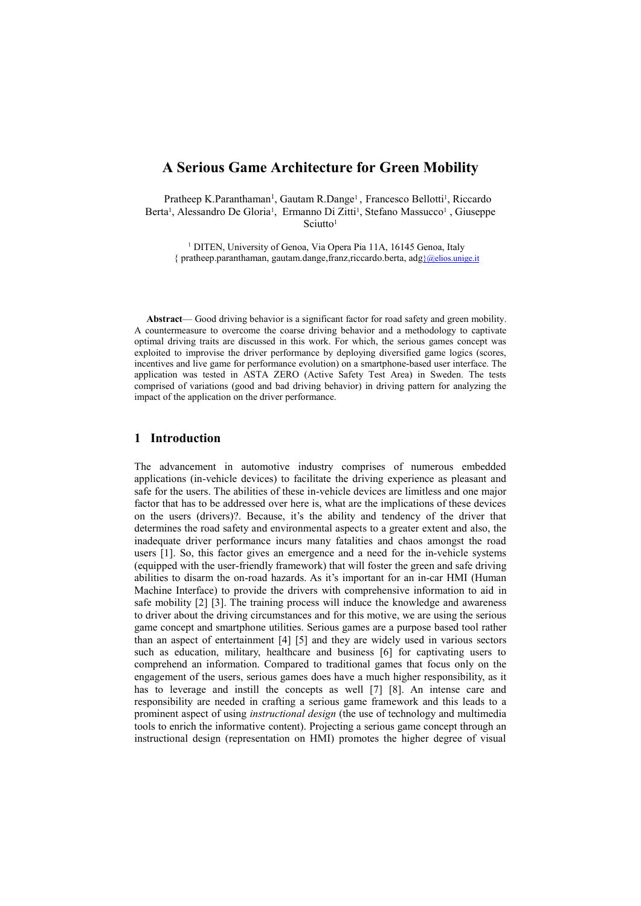# **A Serious Game Architecture for Green Mobility**

Pratheep K.Paranthaman<sup>1</sup>, Gautam R.Dange<sup>1</sup>, Francesco Bellotti<sup>1</sup>, Riccardo Berta<sup>1</sup>, Alessandro De Gloria<sup>1</sup>, Ermanno Di Zitti<sup>1</sup>, Stefano Massucco<sup>1</sup>, Giuseppe Sciutto<sup>1</sup>

<sup>1</sup> DITEN, University of Genoa, Via Opera Pia 11A, 16145 Genoa, Italy { pratheep.paranthaman, gautam.dange,franz,riccardo.berta, adg}@elios.unige.it

**Abstract**— Good driving behavior is a significant factor for road safety and green mobility. A countermeasure to overcome the coarse driving behavior and a methodology to captivate optimal driving traits are discussed in this work. For which, the serious games concept was exploited to improvise the driver performance by deploying diversified game logics (scores, incentives and live game for performance evolution) on a smartphone-based user interface. The application was tested in ASTA ZERO (Active Safety Test Area) in Sweden. The tests comprised of variations (good and bad driving behavior) in driving pattern for analyzing the impact of the application on the driver performance.

# **1 Introduction**

The advancement in automotive industry comprises of numerous embedded applications (in-vehicle devices) to facilitate the driving experience as pleasant and safe for the users. The abilities of these in-vehicle devices are limitless and one major factor that has to be addressed over here is, what are the implications of these devices on the users (drivers)?. Because, it's the ability and tendency of the driver that determines the road safety and environmental aspects to a greater extent and also, the inadequate driver performance incurs many fatalities and chaos amongst the road users [1]. So, this factor gives an emergence and a need for the in-vehicle systems (equipped with the user-friendly framework) that will foster the green and safe driving abilities to disarm the on-road hazards. As it's important for an in-car HMI (Human Machine Interface) to provide the drivers with comprehensive information to aid in safe mobility [2] [3]. The training process will induce the knowledge and awareness to driver about the driving circumstances and for this motive, we are using the serious game concept and smartphone utilities. Serious games are a purpose based tool rather than an aspect of entertainment [4] [5] and they are widely used in various sectors such as education, military, healthcare and business [6] for captivating users to comprehend an information. Compared to traditional games that focus only on the engagement of the users, serious games does have a much higher responsibility, as it has to leverage and instill the concepts as well [7] [8]. An intense care and responsibility are needed in crafting a serious game framework and this leads to a prominent aspect of using *instructional design* (the use of technology and multimedia tools to enrich the informative content). Projecting a serious game concept through an instructional design (representation on HMI) promotes the higher degree of visual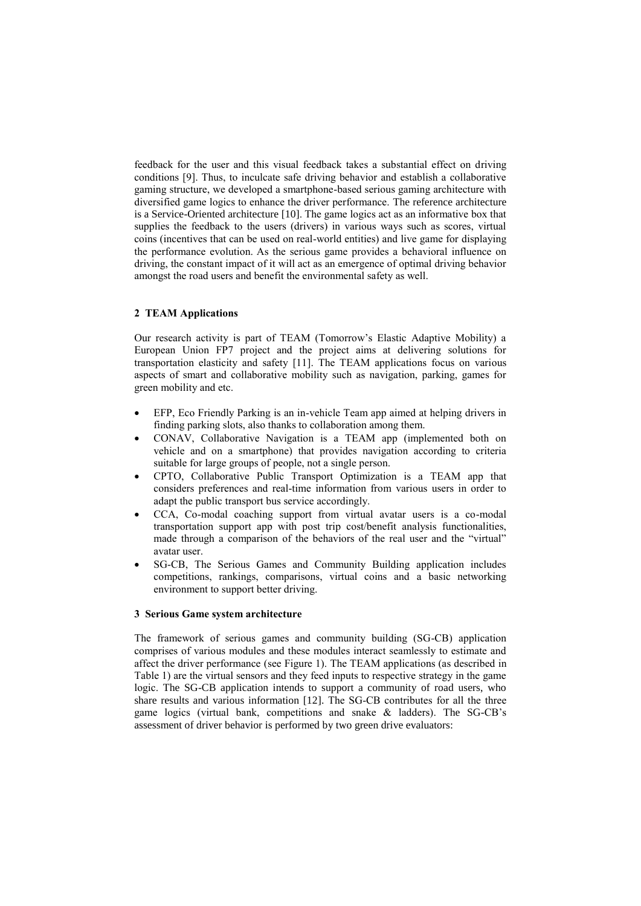feedback for the user and this visual feedback takes a substantial effect on driving conditions [9]. Thus, to inculcate safe driving behavior and establish a collaborative gaming structure, we developed a smartphone-based serious gaming architecture with diversified game logics to enhance the driver performance. The reference architecture is a Service-Oriented architecture [10]. The game logics act as an informative box that supplies the feedback to the users (drivers) in various ways such as scores, virtual coins (incentives that can be used on real-world entities) and live game for displaying the performance evolution. As the serious game provides a behavioral influence on driving, the constant impact of it will act as an emergence of optimal driving behavior amongst the road users and benefit the environmental safety as well.

# **2 TEAM Applications**

Our research activity is part of TEAM (Tomorrow's Elastic Adaptive Mobility) a European Union FP7 project and the project aims at delivering solutions for transportation elasticity and safety [11]. The TEAM applications focus on various aspects of smart and collaborative mobility such as navigation, parking, games for green mobility and etc.

- EFP, Eco Friendly Parking is an in-vehicle Team app aimed at helping drivers in finding parking slots, also thanks to collaboration among them.
- CONAV, Collaborative Navigation is a TEAM app (implemented both on vehicle and on a smartphone) that provides navigation according to criteria suitable for large groups of people, not a single person.
- CPTO, Collaborative Public Transport Optimization is a TEAM app that considers preferences and real-time information from various users in order to adapt the public transport bus service accordingly.
- CCA, Co-modal coaching support from virtual avatar users is a co-modal transportation support app with post trip cost/benefit analysis functionalities, made through a comparison of the behaviors of the real user and the "virtual" avatar user.
- SG-CB, The Serious Games and Community Building application includes competitions, rankings, comparisons, virtual coins and a basic networking environment to support better driving.

#### **3 Serious Game system architecture**

The framework of serious games and community building (SG-CB) application comprises of various modules and these modules interact seamlessly to estimate and affect the driver performance (see Figure 1). The TEAM applications (as described in Table 1) are the virtual sensors and they feed inputs to respective strategy in the game logic. The SG-CB application intends to support a community of road users, who share results and various information [12]. The SG-CB contributes for all the three game logics (virtual bank, competitions and snake & ladders). The SG-CB's assessment of driver behavior is performed by two green drive evaluators: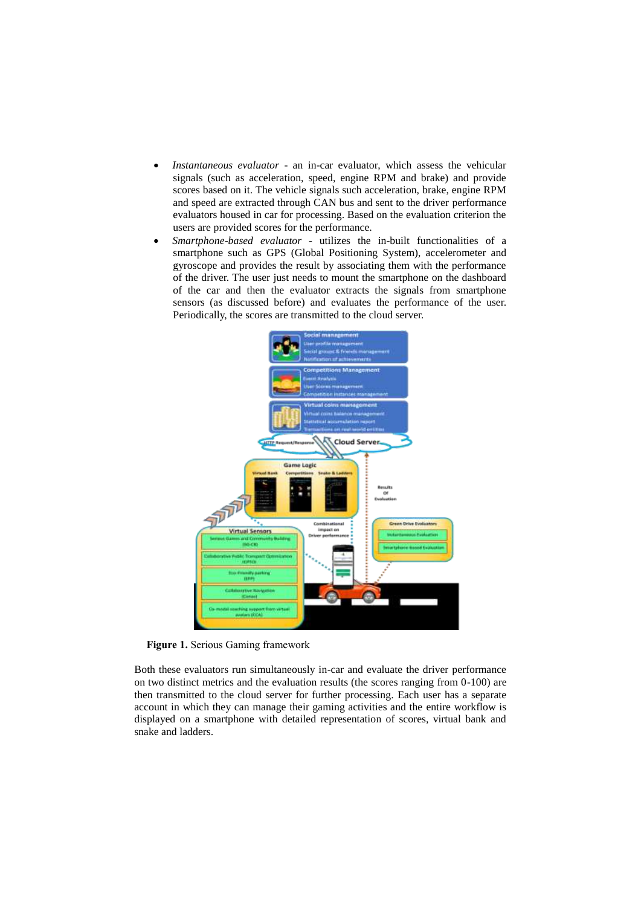- *Instantaneous evaluator*  an in-car evaluator, which assess the vehicular signals (such as acceleration, speed, engine RPM and brake) and provide scores based on it. The vehicle signals such acceleration, brake, engine RPM and speed are extracted through CAN bus and sent to the driver performance evaluators housed in car for processing. Based on the evaluation criterion the users are provided scores for the performance.
- *Smartphone-based evaluator*  utilizes the in-built functionalities of a smartphone such as GPS (Global Positioning System), accelerometer and gyroscope and provides the result by associating them with the performance of the driver. The user just needs to mount the smartphone on the dashboard of the car and then the evaluator extracts the signals from smartphone sensors (as discussed before) and evaluates the performance of the user. Periodically, the scores are transmitted to the cloud server.



**Figure 1.** Serious Gaming framework

Both these evaluators run simultaneously in-car and evaluate the driver performance on two distinct metrics and the evaluation results (the scores ranging from 0-100) are then transmitted to the cloud server for further processing. Each user has a separate account in which they can manage their gaming activities and the entire workflow is displayed on a smartphone with detailed representation of scores, virtual bank and snake and ladders.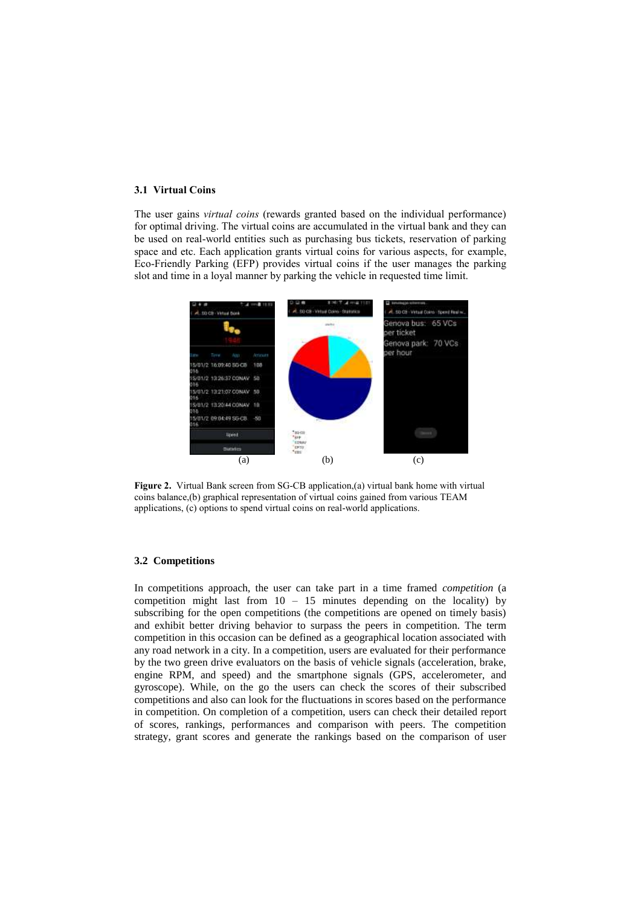#### **3.1 Virtual Coins**

The user gains *virtual coins* (rewards granted based on the individual performance) for optimal driving. The virtual coins are accumulated in the virtual bank and they can be used on real-world entities such as purchasing bus tickets, reservation of parking space and etc. Each application grants virtual coins for various aspects, for example, Eco-Friendly Parking (EFP) provides virtual coins if the user manages the parking slot and time in a loyal manner by parking the vehicle in requested time limit.



**Figure 2.** Virtual Bank screen from SG-CB application,(a) virtual bank home with virtual coins balance,(b) graphical representation of virtual coins gained from various TEAM applications, (c) options to spend virtual coins on real-world applications.

#### **3.2 Competitions**

In competitions approach, the user can take part in a time framed *competition* (a competition might last from  $10 - 15$  minutes depending on the locality) by subscribing for the open competitions (the competitions are opened on timely basis) and exhibit better driving behavior to surpass the peers in competition. The term competition in this occasion can be defined as a geographical location associated with any road network in a city. In a competition, users are evaluated for their performance by the two green drive evaluators on the basis of vehicle signals (acceleration, brake, engine RPM, and speed) and the smartphone signals (GPS, accelerometer, and gyroscope). While, on the go the users can check the scores of their subscribed competitions and also can look for the fluctuations in scores based on the performance in competition. On completion of a competition, users can check their detailed report of scores, rankings, performances and comparison with peers. The competition strategy, grant scores and generate the rankings based on the comparison of user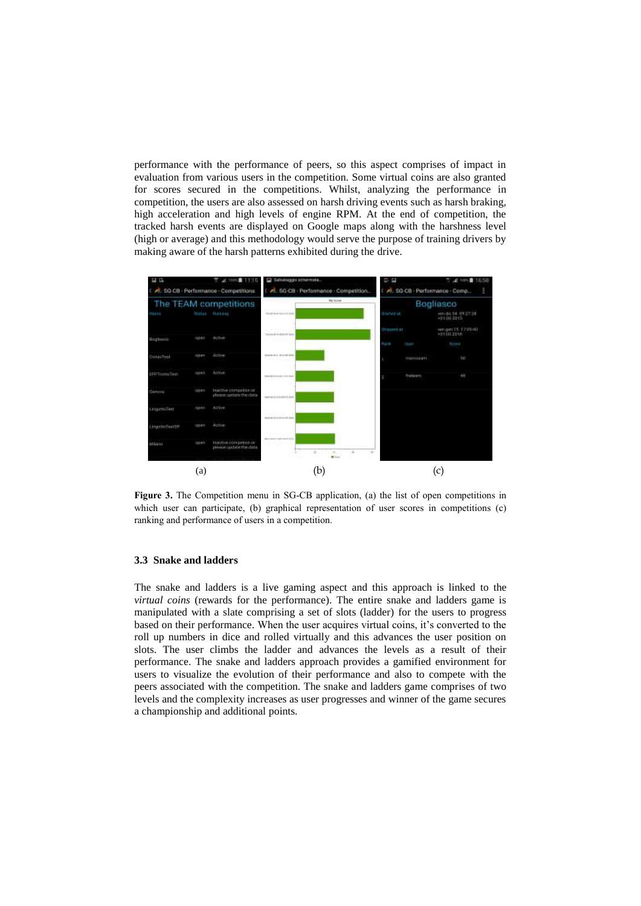performance with the performance of peers, so this aspect comprises of impact in evaluation from various users in the competition. Some virtual coins are also granted for scores secured in the competitions. Whilst, analyzing the performance in competition, the users are also assessed on harsh driving events such as harsh braking, high acceleration and high levels of engine RPM. At the end of competition, the tracked harsh events are displayed on Google maps along with the harshness level (high or average) and this methodology would serve the purpose of training drivers by making aware of the harsh patterns exhibited during the drive.



**Figure 3.** The Competition menu in SG-CB application, (a) the list of open competitions in which user can participate, (b) graphical representation of user scores in competitions (c) ranking and performance of users in a competition.

## **3.3 Snake and ladders**

The snake and ladders is a live gaming aspect and this approach is linked to the *virtual coins* (rewards for the performance). The entire snake and ladders game is manipulated with a slate comprising a set of slots (ladder) for the users to progress based on their performance. When the user acquires virtual coins, it's converted to the roll up numbers in dice and rolled virtually and this advances the user position on slots. The user climbs the ladder and advances the levels as a result of their performance. The snake and ladders approach provides a gamified environment for users to visualize the evolution of their performance and also to compete with the peers associated with the competition. The snake and ladders game comprises of two levels and the complexity increases as user progresses and winner of the game secures a championship and additional points.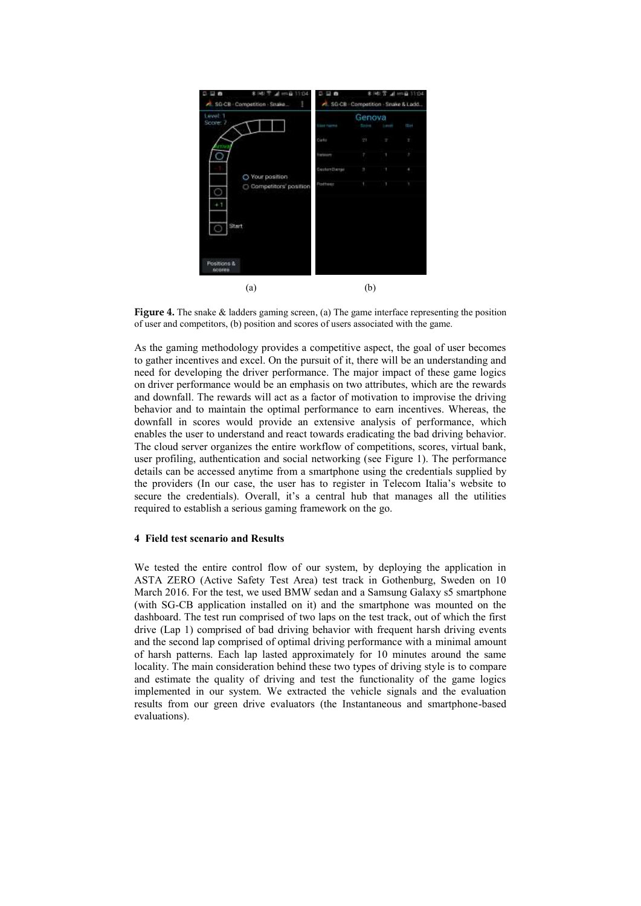

**Figure 4.** The snake & ladders gaming screen, (a) The game interface representing the position of user and competitors, (b) position and scores of users associated with the game.

As the gaming methodology provides a competitive aspect, the goal of user becomes to gather incentives and excel. On the pursuit of it, there will be an understanding and need for developing the driver performance. The major impact of these game logics on driver performance would be an emphasis on two attributes, which are the rewards and downfall. The rewards will act as a factor of motivation to improvise the driving behavior and to maintain the optimal performance to earn incentives. Whereas, the downfall in scores would provide an extensive analysis of performance, which enables the user to understand and react towards eradicating the bad driving behavior. The cloud server organizes the entire workflow of competitions, scores, virtual bank, user profiling, authentication and social networking (see Figure 1). The performance details can be accessed anytime from a smartphone using the credentials supplied by the providers (In our case, the user has to register in Telecom Italia's website to secure the credentials). Overall, it's a central hub that manages all the utilities required to establish a serious gaming framework on the go.

## **4 Field test scenario and Results**

We tested the entire control flow of our system, by deploying the application in ASTA ZERO (Active Safety Test Area) test track in Gothenburg, Sweden on 10 March 2016. For the test, we used BMW sedan and a Samsung Galaxy s5 smartphone (with SG-CB application installed on it) and the smartphone was mounted on the dashboard. The test run comprised of two laps on the test track, out of which the first drive (Lap 1) comprised of bad driving behavior with frequent harsh driving events and the second lap comprised of optimal driving performance with a minimal amount of harsh patterns. Each lap lasted approximately for 10 minutes around the same locality. The main consideration behind these two types of driving style is to compare and estimate the quality of driving and test the functionality of the game logics implemented in our system. We extracted the vehicle signals and the evaluation results from our green drive evaluators (the Instantaneous and smartphone-based evaluations).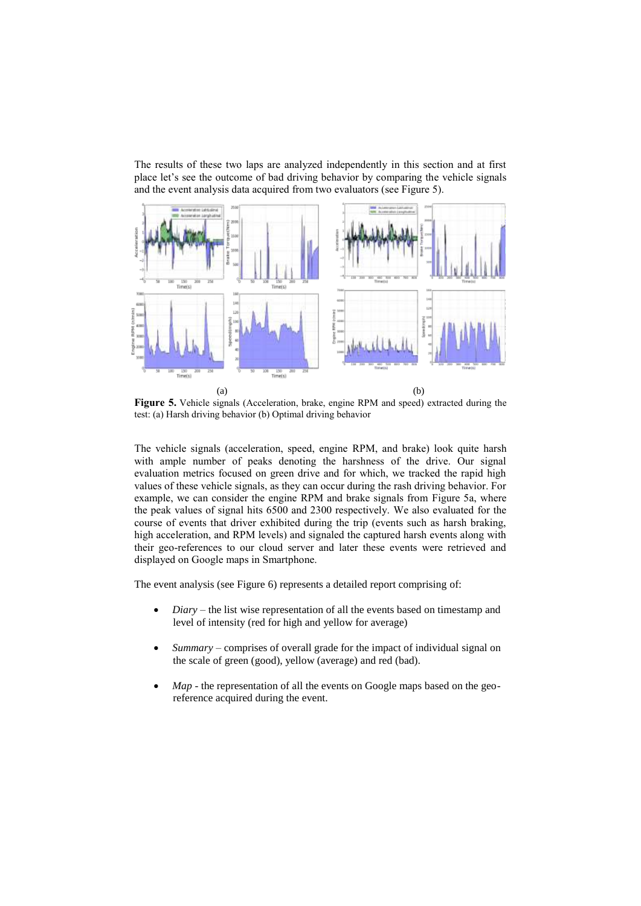The results of these two laps are analyzed independently in this section and at first place let's see the outcome of bad driving behavior by comparing the vehicle signals and the event analysis data acquired from two evaluators (see Figure 5).



**Figure 5.** Vehicle signals (Acceleration, brake, engine RPM and speed) extracted during the test: (a) Harsh driving behavior (b) Optimal driving behavior

The vehicle signals (acceleration, speed, engine RPM, and brake) look quite harsh with ample number of peaks denoting the harshness of the drive. Our signal evaluation metrics focused on green drive and for which, we tracked the rapid high values of these vehicle signals, as they can occur during the rash driving behavior. For example, we can consider the engine RPM and brake signals from Figure 5a, where the peak values of signal hits 6500 and 2300 respectively. We also evaluated for the course of events that driver exhibited during the trip (events such as harsh braking, high acceleration, and RPM levels) and signaled the captured harsh events along with their geo-references to our cloud server and later these events were retrieved and displayed on Google maps in Smartphone.

The event analysis (see Figure 6) represents a detailed report comprising of:

- *Diary* the list wise representation of all the events based on timestamp and level of intensity (red for high and yellow for average)
- *Summary*  comprises of overall grade for the impact of individual signal on the scale of green (good), yellow (average) and red (bad).
- *Map* the representation of all the events on Google maps based on the georeference acquired during the event.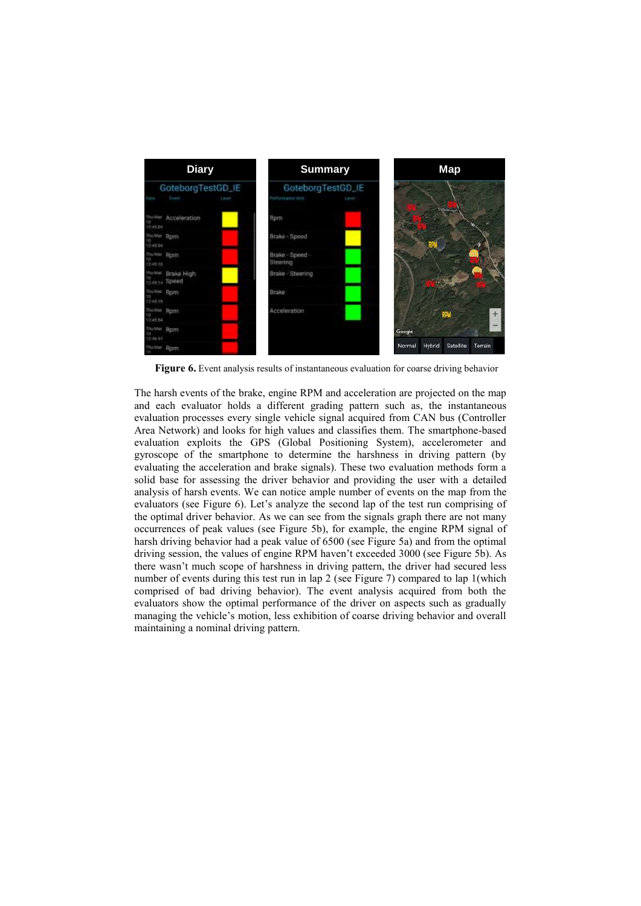

**Figure 6.** Event analysis results of instantaneous evaluation for coarse driving behavior

The harsh events of the brake, engine RPM and acceleration are projected on the map and each evaluator holds a different grading pattern such as, the instantaneous evaluation processes every single vehicle signal acquired from CAN bus (Controller Area Network) and looks for high values and classifies them. The smartphone-based evaluation exploits the GPS (Global Positioning System), accelerometer and gyroscope of the smartphone to determine the harshness in driving pattern (by evaluating the acceleration and brake signals). These two evaluation methods form a solid base for assessing the driver behavior and providing the user with a detailed analysis of harsh events. We can notice ample number of events on the map from the evaluators (see Figure 6). Let's analyze the second lap of the test run comprising of the optimal driver behavior. As we can see from the signals graph there are not many occurrences of peak values (see Figure 5b), for example, the engine RPM signal of harsh driving behavior had a peak value of 6500 (see Figure 5a) and from the optimal driving session, the values of engine RPM haven't exceeded 3000 (see Figure 5b). As there wasn't much scope of harshness in driving pattern, the driver had secured less number of events during this test run in lap 2 (see Figure 7) compared to lap 1(which comprised of bad driving behavior). The event analysis acquired from both the evaluators show the optimal performance of the driver on aspects such as gradually managing the vehicle's motion, less exhibition of coarse driving behavior and overall maintaining a nominal driving pattern.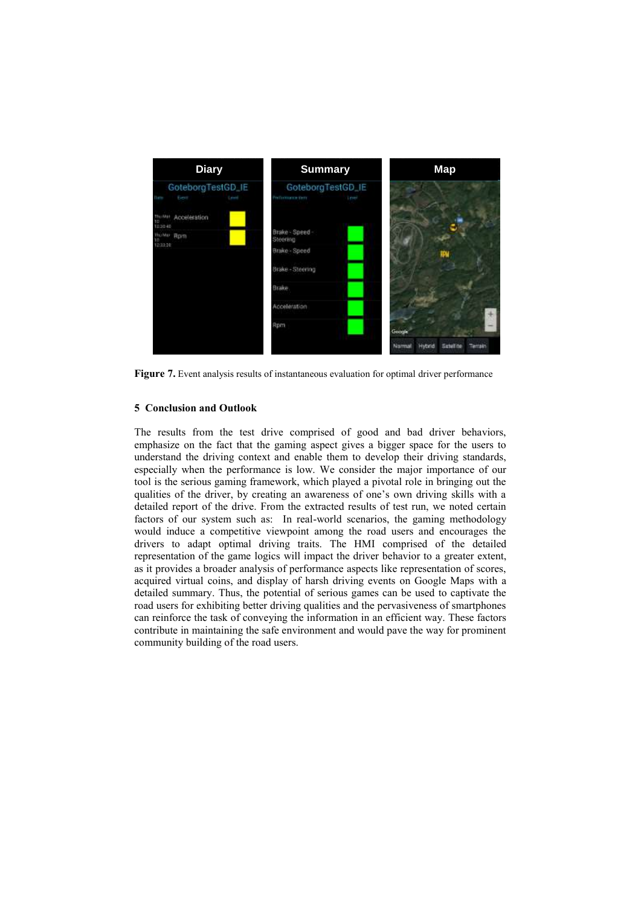

**Figure 7.** Event analysis results of instantaneous evaluation for optimal driver performance

## **5 Conclusion and Outlook**

The results from the test drive comprised of good and bad driver behaviors, emphasize on the fact that the gaming aspect gives a bigger space for the users to understand the driving context and enable them to develop their driving standards, especially when the performance is low. We consider the major importance of our tool is the serious gaming framework, which played a pivotal role in bringing out the qualities of the driver, by creating an awareness of one's own driving skills with a detailed report of the drive. From the extracted results of test run, we noted certain factors of our system such as: In real-world scenarios, the gaming methodology would induce a competitive viewpoint among the road users and encourages the drivers to adapt optimal driving traits. The HMI comprised of the detailed representation of the game logics will impact the driver behavior to a greater extent, as it provides a broader analysis of performance aspects like representation of scores, acquired virtual coins, and display of harsh driving events on Google Maps with a detailed summary. Thus, the potential of serious games can be used to captivate the road users for exhibiting better driving qualities and the pervasiveness of smartphones can reinforce the task of conveying the information in an efficient way. These factors contribute in maintaining the safe environment and would pave the way for prominent community building of the road users.